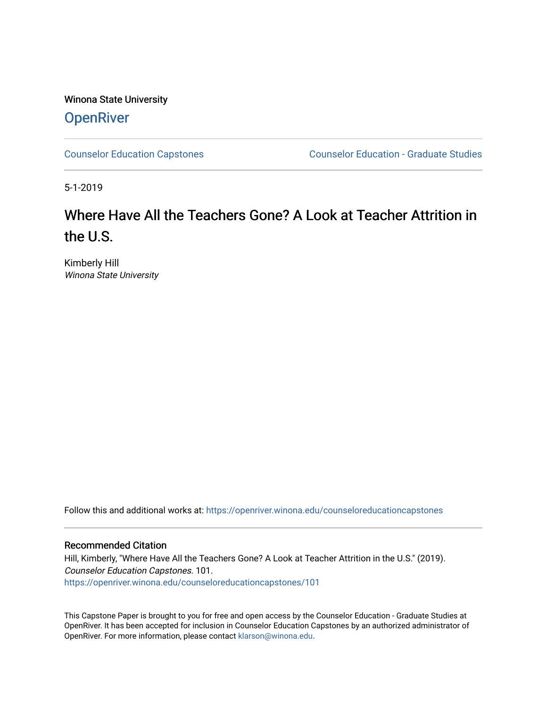Winona State University **OpenRiver** 

[Counselor Education Capstones](https://openriver.winona.edu/counseloreducationcapstones) [Counselor Education - Graduate Studies](https://openriver.winona.edu/counseloreducation) 

5-1-2019

# Where Have All the Teachers Gone? A Look at Teacher Attrition in the U.S.

Kimberly Hill Winona State University

Follow this and additional works at: [https://openriver.winona.edu/counseloreducationcapstones](https://openriver.winona.edu/counseloreducationcapstones?utm_source=openriver.winona.edu%2Fcounseloreducationcapstones%2F101&utm_medium=PDF&utm_campaign=PDFCoverPages)

# Recommended Citation

Hill, Kimberly, "Where Have All the Teachers Gone? A Look at Teacher Attrition in the U.S." (2019). Counselor Education Capstones. 101. [https://openriver.winona.edu/counseloreducationcapstones/101](https://openriver.winona.edu/counseloreducationcapstones/101?utm_source=openriver.winona.edu%2Fcounseloreducationcapstones%2F101&utm_medium=PDF&utm_campaign=PDFCoverPages)

This Capstone Paper is brought to you for free and open access by the Counselor Education - Graduate Studies at OpenRiver. It has been accepted for inclusion in Counselor Education Capstones by an authorized administrator of OpenRiver. For more information, please contact [klarson@winona.edu](mailto:klarson@winona.edu).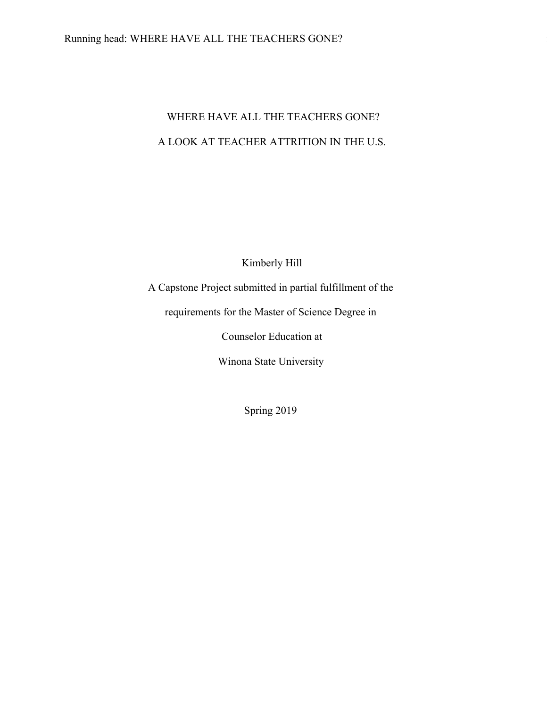# WHERE HAVE ALL THE TEACHERS GONE? A LOOK AT TEACHER ATTRITION IN THE U.S.

Kimberly Hill

A Capstone Project submitted in partial fulfillment of the

requirements for the Master of Science Degree in

Counselor Education at

Winona State University

Spring 2019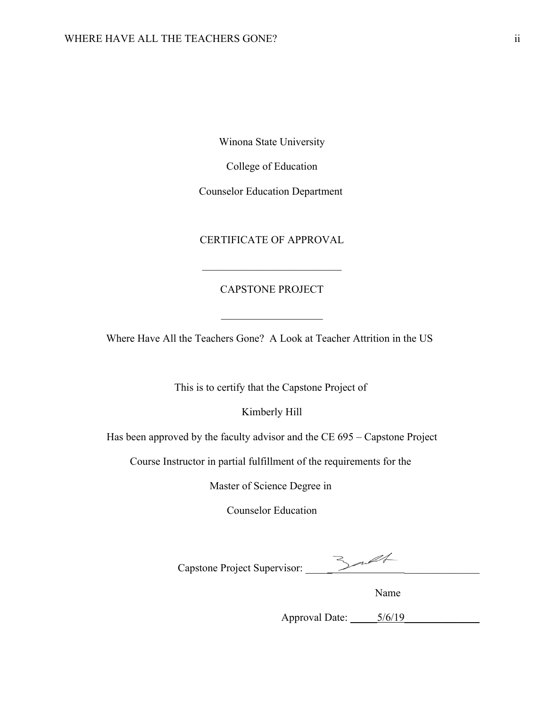Winona State University

College of Education

Counselor Education Department

# CERTIFICATE OF APPROVAL

# CAPSTONE PROJECT

Where Have All the Teachers Gone? A Look at Teacher Attrition in the US

This is to certify that the Capstone Project of

Kimberly Hill

Has been approved by the faculty advisor and the CE 695 – Capstone Project

Course Instructor in partial fulfillment of the requirements for the

Master of Science Degree in

Counselor Education

Capstone Project Supervisor: \_\_\_\_\_ \_\_\_\_\_\_\_\_\_\_\_\_\_\_

Name Name and the Name of the Name of the Name of the Name of the Name of the Name of the Name of the Name of the Name of the Name of the Name of the Name of the Name of the Name of the Name of the Name of the Name of the

Approval Date: \_\_\_\_\_5/6/19\_\_\_\_\_\_\_\_\_\_\_\_\_\_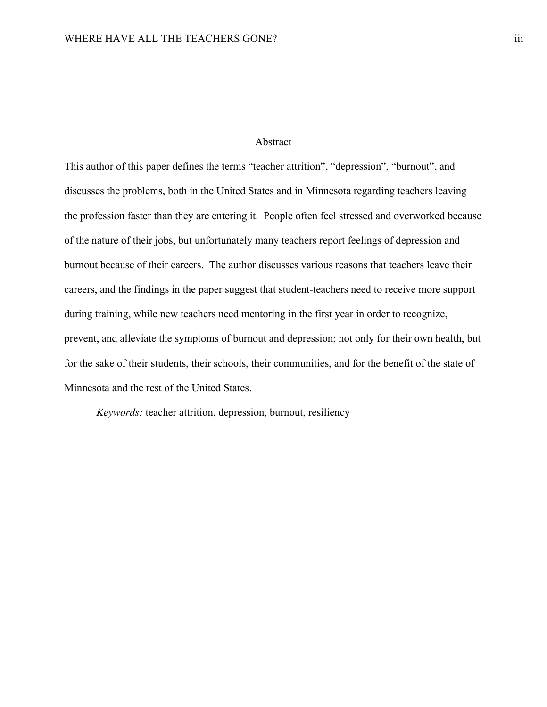# Abstract

This author of this paper defines the terms "teacher attrition", "depression", "burnout", and discusses the problems, both in the United States and in Minnesota regarding teachers leaving the profession faster than they are entering it. People often feel stressed and overworked because of the nature of their jobs, but unfortunately many teachers report feelings of depression and burnout because of their careers. The author discusses various reasons that teachers leave their careers, and the findings in the paper suggest that student-teachers need to receive more support during training, while new teachers need mentoring in the first year in order to recognize, prevent, and alleviate the symptoms of burnout and depression; not only for their own health, but for the sake of their students, their schools, their communities, and for the benefit of the state of Minnesota and the rest of the United States.

*Keywords:* teacher attrition, depression, burnout, resiliency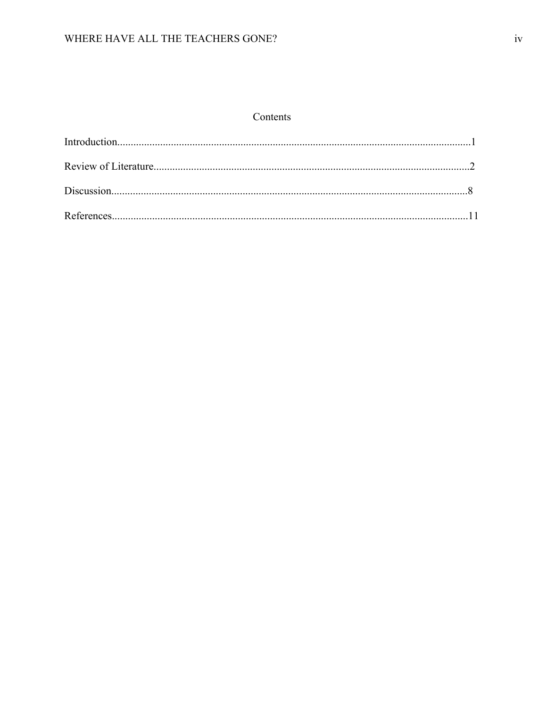# Contents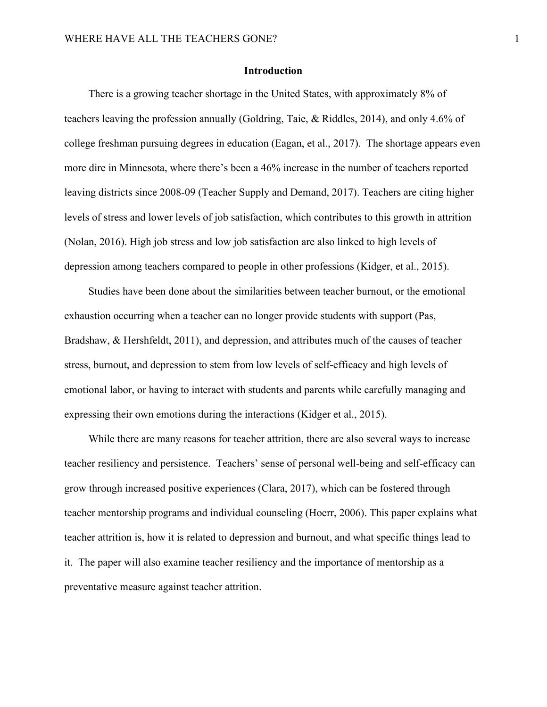# **Introduction**

There is a growing teacher shortage in the United States, with approximately 8% of teachers leaving the profession annually (Goldring, Taie, & Riddles, 2014), and only 4.6% of college freshman pursuing degrees in education (Eagan, et al., 2017). The shortage appears even more dire in Minnesota, where there's been a 46% increase in the number of teachers reported leaving districts since 2008-09 (Teacher Supply and Demand, 2017). Teachers are citing higher levels of stress and lower levels of job satisfaction, which contributes to this growth in attrition (Nolan, 2016). High job stress and low job satisfaction are also linked to high levels of depression among teachers compared to people in other professions (Kidger, et al., 2015).

Studies have been done about the similarities between teacher burnout, or the emotional exhaustion occurring when a teacher can no longer provide students with support (Pas, Bradshaw, & Hershfeldt, 2011), and depression, and attributes much of the causes of teacher stress, burnout, and depression to stem from low levels of self-efficacy and high levels of emotional labor, or having to interact with students and parents while carefully managing and expressing their own emotions during the interactions (Kidger et al., 2015).

While there are many reasons for teacher attrition, there are also several ways to increase teacher resiliency and persistence. Teachers' sense of personal well-being and self-efficacy can grow through increased positive experiences (Clara, 2017), which can be fostered through teacher mentorship programs and individual counseling (Hoerr, 2006). This paper explains what teacher attrition is, how it is related to depression and burnout, and what specific things lead to it. The paper will also examine teacher resiliency and the importance of mentorship as a preventative measure against teacher attrition.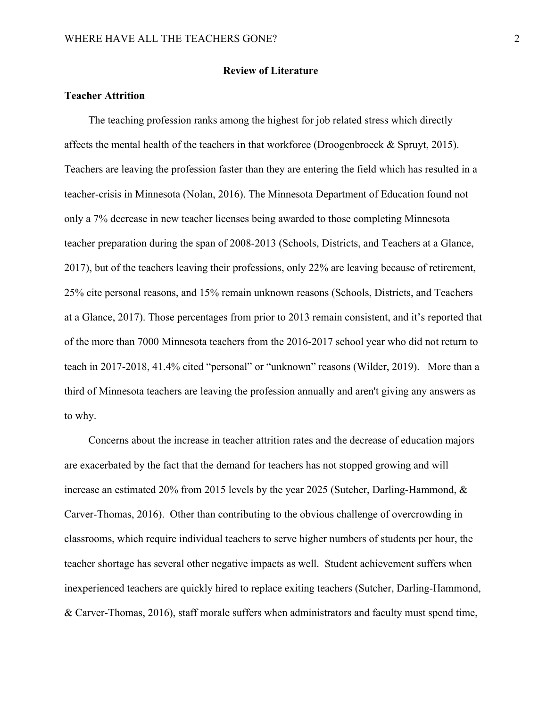# **Review of Literature**

# **Teacher Attrition**

The teaching profession ranks among the highest for job related stress which directly affects the mental health of the teachers in that workforce (Droogenbroeck & Spruyt, 2015). Teachers are leaving the profession faster than they are entering the field which has resulted in a teacher-crisis in Minnesota (Nolan, 2016). The Minnesota Department of Education found not only a 7% decrease in new teacher licenses being awarded to those completing Minnesota teacher preparation during the span of 2008-2013 (Schools, Districts, and Teachers at a Glance, 2017), but of the teachers leaving their professions, only 22% are leaving because of retirement, 25% cite personal reasons, and 15% remain unknown reasons (Schools, Districts, and Teachers at a Glance, 2017). Those percentages from prior to 2013 remain consistent, and it's reported that of the more than 7000 Minnesota teachers from the 2016-2017 school year who did not return to teach in 2017-2018, 41.4% cited "personal" or "unknown" reasons (Wilder, 2019). More than a third of Minnesota teachers are leaving the profession annually and aren't giving any answers as to why.

Concerns about the increase in teacher attrition rates and the decrease of education majors are exacerbated by the fact that the demand for teachers has not stopped growing and will increase an estimated 20% from 2015 levels by the year 2025 (Sutcher, Darling-Hammond, & Carver-Thomas, 2016). Other than contributing to the obvious challenge of overcrowding in classrooms, which require individual teachers to serve higher numbers of students per hour, the teacher shortage has several other negative impacts as well. Student achievement suffers when inexperienced teachers are quickly hired to replace exiting teachers (Sutcher, Darling-Hammond, & Carver-Thomas, 2016), staff morale suffers when administrators and faculty must spend time,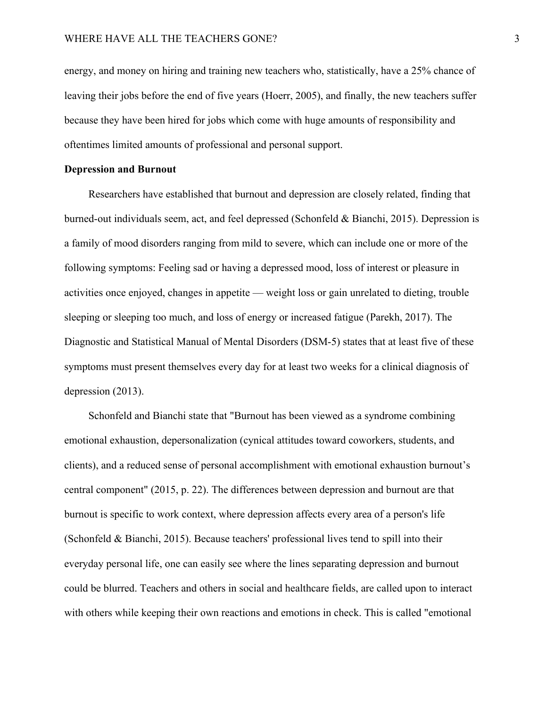energy, and money on hiring and training new teachers who, statistically, have a 25% chance of leaving their jobs before the end of five years (Hoerr, 2005), and finally, the new teachers suffer because they have been hired for jobs which come with huge amounts of responsibility and oftentimes limited amounts of professional and personal support.

#### **Depression and Burnout**

Researchers have established that burnout and depression are closely related, finding that burned-out individuals seem, act, and feel depressed (Schonfeld & Bianchi, 2015). Depression is a family of mood disorders ranging from mild to severe, which can include one or more of the following symptoms: Feeling sad or having a depressed mood, loss of interest or pleasure in activities once enjoyed, changes in appetite — weight loss or gain unrelated to dieting, trouble sleeping or sleeping too much, and loss of energy or increased fatigue (Parekh, 2017). The Diagnostic and Statistical Manual of Mental Disorders (DSM-5) states that at least five of these symptoms must present themselves every day for at least two weeks for a clinical diagnosis of depression (2013).

Schonfeld and Bianchi state that "Burnout has been viewed as a syndrome combining emotional exhaustion, depersonalization (cynical attitudes toward coworkers, students, and clients), and a reduced sense of personal accomplishment with emotional exhaustion burnout's central component" (2015, p. 22). The differences between depression and burnout are that burnout is specific to work context, where depression affects every area of a person's life (Schonfeld & Bianchi, 2015). Because teachers' professional lives tend to spill into their everyday personal life, one can easily see where the lines separating depression and burnout could be blurred. Teachers and others in social and healthcare fields, are called upon to interact with others while keeping their own reactions and emotions in check. This is called "emotional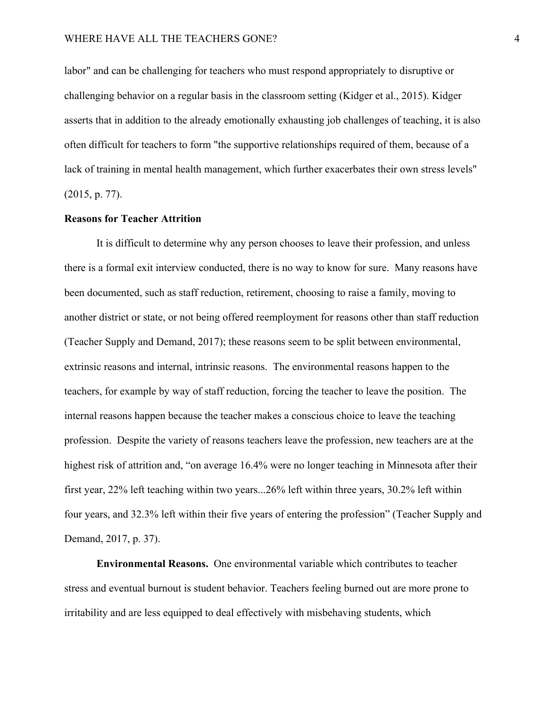# WHERE HAVE ALL THE TEACHERS GONE? 4

labor" and can be challenging for teachers who must respond appropriately to disruptive or challenging behavior on a regular basis in the classroom setting (Kidger et al., 2015). Kidger asserts that in addition to the already emotionally exhausting job challenges of teaching, it is also often difficult for teachers to form "the supportive relationships required of them, because of a lack of training in mental health management, which further exacerbates their own stress levels" (2015, p. 77).

# **Reasons for Teacher Attrition**

It is difficult to determine why any person chooses to leave their profession, and unless there is a formal exit interview conducted, there is no way to know for sure. Many reasons have been documented, such as staff reduction, retirement, choosing to raise a family, moving to another district or state, or not being offered reemployment for reasons other than staff reduction (Teacher Supply and Demand, 2017); these reasons seem to be split between environmental, extrinsic reasons and internal, intrinsic reasons. The environmental reasons happen to the teachers, for example by way of staff reduction, forcing the teacher to leave the position. The internal reasons happen because the teacher makes a conscious choice to leave the teaching profession. Despite the variety of reasons teachers leave the profession, new teachers are at the highest risk of attrition and, "on average 16.4% were no longer teaching in Minnesota after their first year, 22% left teaching within two years...26% left within three years, 30.2% left within four years, and 32.3% left within their five years of entering the profession" (Teacher Supply and Demand, 2017, p. 37).

**Environmental Reasons.** One environmental variable which contributes to teacher stress and eventual burnout is student behavior. Teachers feeling burned out are more prone to irritability and are less equipped to deal effectively with misbehaving students, which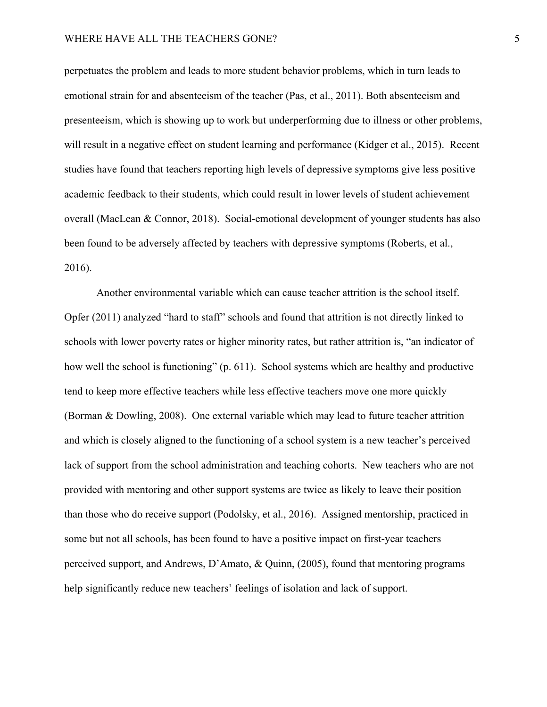perpetuates the problem and leads to more student behavior problems, which in turn leads to emotional strain for and absenteeism of the teacher (Pas, et al., 2011). Both absenteeism and presenteeism, which is showing up to work but underperforming due to illness or other problems, will result in a negative effect on student learning and performance (Kidger et al., 2015). Recent studies have found that teachers reporting high levels of depressive symptoms give less positive academic feedback to their students, which could result in lower levels of student achievement overall (MacLean & Connor, 2018). Social-emotional development of younger students has also been found to be adversely affected by teachers with depressive symptoms (Roberts, et al., 2016).

Another environmental variable which can cause teacher attrition is the school itself. Opfer (2011) analyzed "hard to staff" schools and found that attrition is not directly linked to schools with lower poverty rates or higher minority rates, but rather attrition is, "an indicator of how well the school is functioning" (p. 611). School systems which are healthy and productive tend to keep more effective teachers while less effective teachers move one more quickly (Borman & Dowling, 2008). One external variable which may lead to future teacher attrition and which is closely aligned to the functioning of a school system is a new teacher's perceived lack of support from the school administration and teaching cohorts. New teachers who are not provided with mentoring and other support systems are twice as likely to leave their position than those who do receive support (Podolsky, et al., 2016). Assigned mentorship, practiced in some but not all schools, has been found to have a positive impact on first-year teachers perceived support, and Andrews, D'Amato, & Quinn, (2005), found that mentoring programs help significantly reduce new teachers' feelings of isolation and lack of support.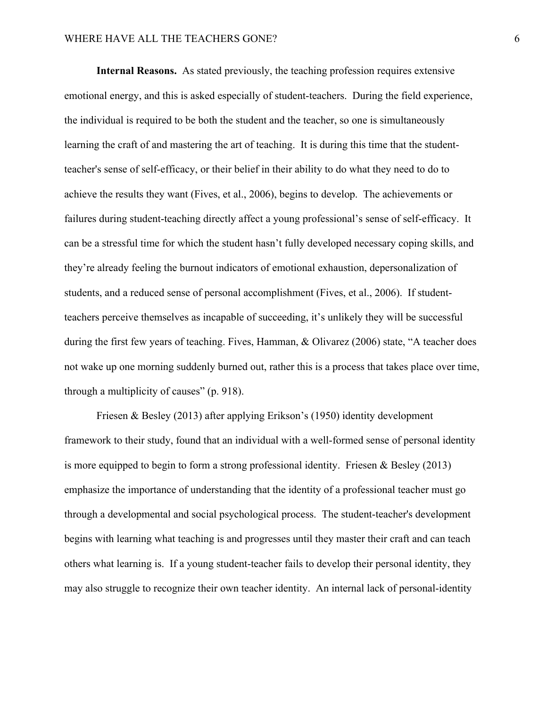**Internal Reasons.** As stated previously, the teaching profession requires extensive emotional energy, and this is asked especially of student-teachers. During the field experience, the individual is required to be both the student and the teacher, so one is simultaneously learning the craft of and mastering the art of teaching. It is during this time that the studentteacher's sense of self-efficacy, or their belief in their ability to do what they need to do to achieve the results they want (Fives, et al., 2006), begins to develop. The achievements or failures during student-teaching directly affect a young professional's sense of self-efficacy. It can be a stressful time for which the student hasn't fully developed necessary coping skills, and they're already feeling the burnout indicators of emotional exhaustion, depersonalization of students, and a reduced sense of personal accomplishment (Fives, et al., 2006). If studentteachers perceive themselves as incapable of succeeding, it's unlikely they will be successful during the first few years of teaching. Fives, Hamman, & Olivarez (2006) state, "A teacher does not wake up one morning suddenly burned out, rather this is a process that takes place over time, through a multiplicity of causes" (p. 918).

Friesen & Besley (2013) after applying Erikson's (1950) identity development framework to their study, found that an individual with a well-formed sense of personal identity is more equipped to begin to form a strong professional identity. Friesen & Besley (2013) emphasize the importance of understanding that the identity of a professional teacher must go through a developmental and social psychological process. The student-teacher's development begins with learning what teaching is and progresses until they master their craft and can teach others what learning is. If a young student-teacher fails to develop their personal identity, they may also struggle to recognize their own teacher identity. An internal lack of personal-identity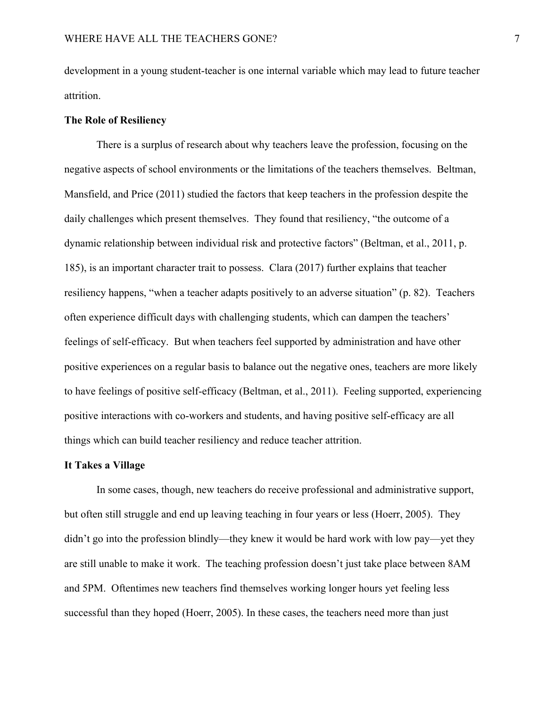development in a young student-teacher is one internal variable which may lead to future teacher attrition.

# **The Role of Resiliency**

There is a surplus of research about why teachers leave the profession, focusing on the negative aspects of school environments or the limitations of the teachers themselves. Beltman, Mansfield, and Price (2011) studied the factors that keep teachers in the profession despite the daily challenges which present themselves. They found that resiliency, "the outcome of a dynamic relationship between individual risk and protective factors" (Beltman, et al., 2011, p. 185), is an important character trait to possess. Clara (2017) further explains that teacher resiliency happens, "when a teacher adapts positively to an adverse situation" (p. 82). Teachers often experience difficult days with challenging students, which can dampen the teachers' feelings of self-efficacy. But when teachers feel supported by administration and have other positive experiences on a regular basis to balance out the negative ones, teachers are more likely to have feelings of positive self-efficacy (Beltman, et al., 2011). Feeling supported, experiencing positive interactions with co-workers and students, and having positive self-efficacy are all things which can build teacher resiliency and reduce teacher attrition.

#### **It Takes a Village**

In some cases, though, new teachers do receive professional and administrative support, but often still struggle and end up leaving teaching in four years or less (Hoerr, 2005). They didn't go into the profession blindly—they knew it would be hard work with low pay—yet they are still unable to make it work. The teaching profession doesn't just take place between 8AM and 5PM. Oftentimes new teachers find themselves working longer hours yet feeling less successful than they hoped (Hoerr, 2005). In these cases, the teachers need more than just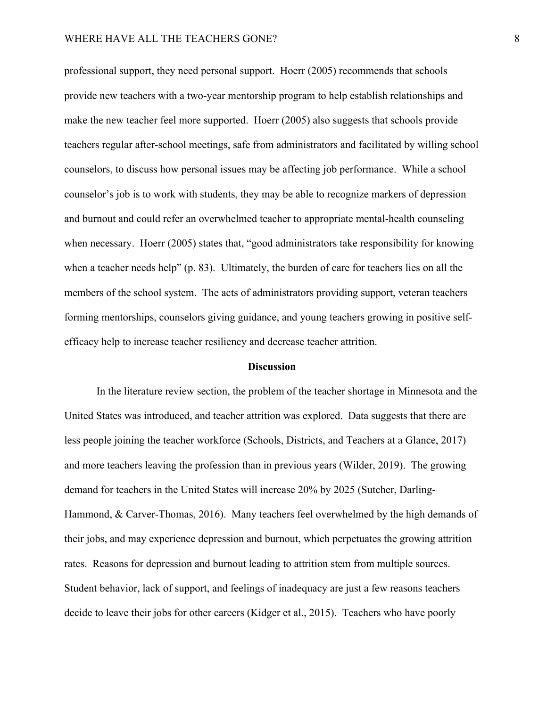# WHERE HAVE ALL THE TEACHERS GONE? 8

professional support, they need personal support. Hoerr (2005) recommends that schools provide new teachers with a two-year mentorship program to help establish relationships and make the new teacher feel more supported. Hoerr (2005) also suggests that schools provide teachers regular after-school meetings, safe from administrators and facilitated by willing school counselors, to discuss how personal issues may be affecting job performance. While a school counselor's job is to work with students, they may be able to recognize markers of depression and burnout and could refer an overwhelmed teacher to appropriate mental-health counseling when necessary. Hoerr (2005) states that, "good administrators take responsibility for knowing when a teacher needs help" (p. 83). Ultimately, the burden of care for teachers lies on all the members of the school system. The acts of administrators providing support, veteran teachers forming mentorships, counselors giving guidance, and young teachers growing in positive selfefficacy help to increase teacher resiliency and decrease teacher attrition.

#### **Discussion**

In the literature review section, the problem of the teacher shortage in Minnesota and the United States was introduced, and teacher attrition was explored. Data suggests that there are less people joining the teacher workforce (Schools, Districts, and Teachers at a Glance, 2017) and more teachers leaving the profession than in previous years (Wilder, 2019). The growing demand for teachers in the United States will increase 20% by 2025 (Sutcher, Darling-Hammond, & Carver-Thomas, 2016). Many teachers feel overwhelmed by the high demands of their jobs, and may experience depression and burnout, which perpetuates the growing attrition rates. Reasons for depression and burnout leading to attrition stem from multiple sources. Student behavior, lack of support, and feelings of inadequacy are just a few reasons teachers decide to leave their jobs for other careers (Kidger et al., 2015). Teachers who have poorly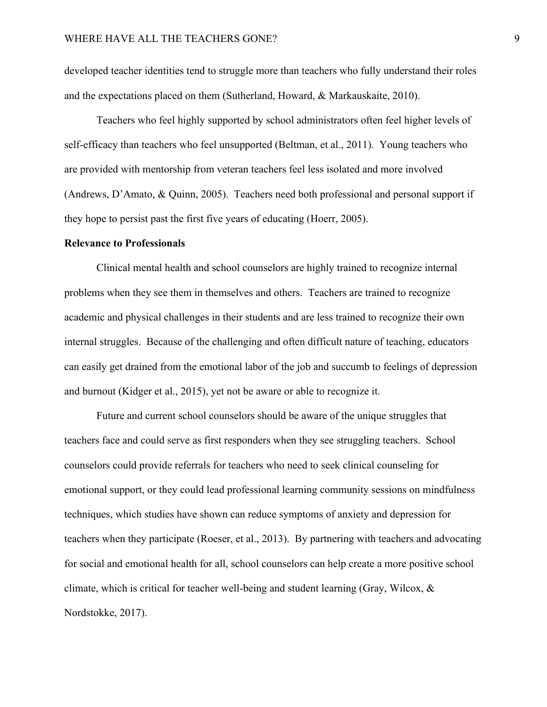developed teacher identities tend to struggle more than teachers who fully understand their roles and the expectations placed on them (Sutherland, Howard, & Markauskaite, 2010).

Teachers who feel highly supported by school administrators often feel higher levels of self-efficacy than teachers who feel unsupported (Beltman, et al., 2011). Young teachers who are provided with mentorship from veteran teachers feel less isolated and more involved (Andrews, D'Amato, & Quinn, 2005). Teachers need both professional and personal support if they hope to persist past the first five years of educating (Hoerr, 2005).

#### **Relevance to Professionals**

Clinical mental health and school counselors are highly trained to recognize internal problems when they see them in themselves and others. Teachers are trained to recognize academic and physical challenges in their students and are less trained to recognize their own internal struggles. Because of the challenging and often difficult nature of teaching, educators can easily get drained from the emotional labor of the job and succumb to feelings of depression and burnout (Kidger et al., 2015), yet not be aware or able to recognize it.

Future and current school counselors should be aware of the unique struggles that teachers face and could serve as first responders when they see struggling teachers. School counselors could provide referrals for teachers who need to seek clinical counseling for emotional support, or they could lead professional learning community sessions on mindfulness techniques, which studies have shown can reduce symptoms of anxiety and depression for teachers when they participate (Roeser, et al., 2013). By partnering with teachers and advocating for social and emotional health for all, school counselors can help create a more positive school climate, which is critical for teacher well-being and student learning (Gray, Wilcox,  $\&$ Nordstokke, 2017).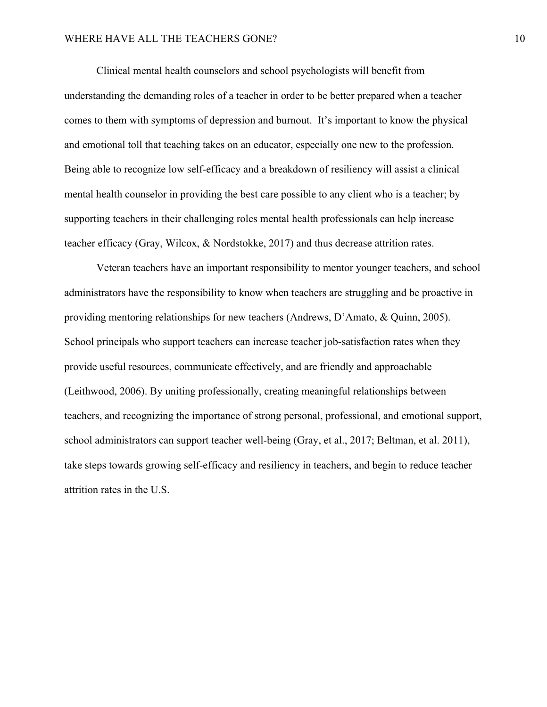# WHERE HAVE ALL THE TEACHERS GONE? 10

Clinical mental health counselors and school psychologists will benefit from understanding the demanding roles of a teacher in order to be better prepared when a teacher comes to them with symptoms of depression and burnout. It's important to know the physical and emotional toll that teaching takes on an educator, especially one new to the profession. Being able to recognize low self-efficacy and a breakdown of resiliency will assist a clinical mental health counselor in providing the best care possible to any client who is a teacher; by supporting teachers in their challenging roles mental health professionals can help increase teacher efficacy (Gray, Wilcox, & Nordstokke, 2017) and thus decrease attrition rates.

Veteran teachers have an important responsibility to mentor younger teachers, and school administrators have the responsibility to know when teachers are struggling and be proactive in providing mentoring relationships for new teachers (Andrews, D'Amato, & Quinn, 2005). School principals who support teachers can increase teacher job-satisfaction rates when they provide useful resources, communicate effectively, and are friendly and approachable (Leithwood, 2006). By uniting professionally, creating meaningful relationships between teachers, and recognizing the importance of strong personal, professional, and emotional support, school administrators can support teacher well-being (Gray, et al., 2017; Beltman, et al. 2011), take steps towards growing self-efficacy and resiliency in teachers, and begin to reduce teacher attrition rates in the U.S.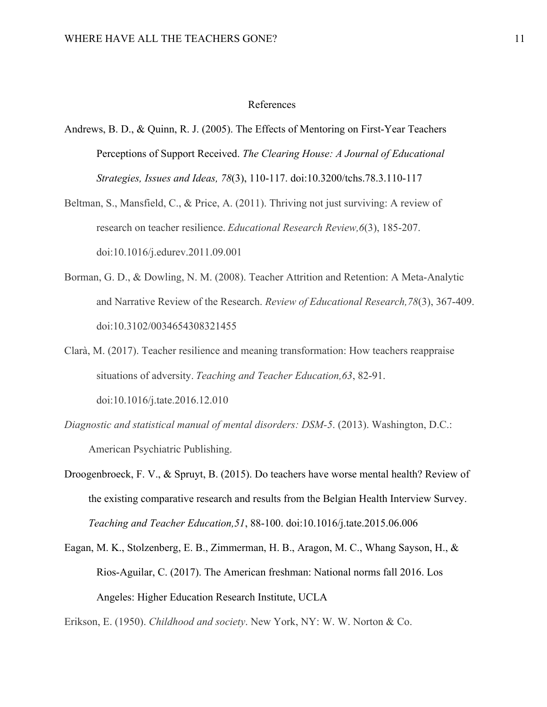#### References

- Andrews, B. D., & Quinn, R. J. (2005). The Effects of Mentoring on First-Year Teachers Perceptions of Support Received. *The Clearing House: A Journal of Educational Strategies, Issues and Ideas, 78*(3), 110-117. doi:10.3200/tchs.78.3.110-117
- Beltman, S., Mansfield, C., & Price, A. (2011). Thriving not just surviving: A review of research on teacher resilience. *Educational Research Review,6*(3), 185-207. doi:10.1016/j.edurev.2011.09.001
- Borman, G. D., & Dowling, N. M. (2008). Teacher Attrition and Retention: A Meta-Analytic and Narrative Review of the Research. *Review of Educational Research,78*(3), 367-409. doi:10.3102/0034654308321455
- Clarà, M. (2017). Teacher resilience and meaning transformation: How teachers reappraise situations of adversity. *Teaching and Teacher Education,63*, 82-91. doi:10.1016/j.tate.2016.12.010
- *Diagnostic and statistical manual of mental disorders: DSM-5*. (2013). Washington, D.C.: American Psychiatric Publishing.
- Droogenbroeck, F. V., & Spruyt, B. (2015). Do teachers have worse mental health? Review of the existing comparative research and results from the Belgian Health Interview Survey. *Teaching and Teacher Education,51*, 88-100. doi:10.1016/j.tate.2015.06.006
- Eagan, M. K., Stolzenberg, E. B., Zimmerman, H. B., Aragon, M. C., Whang Sayson, H., & Rios-Aguilar, C. (2017). The American freshman: National norms fall 2016. Los Angeles: Higher Education Research Institute, UCLA

Erikson, E. (1950). *Childhood and society*. New York, NY: W. W. Norton & Co.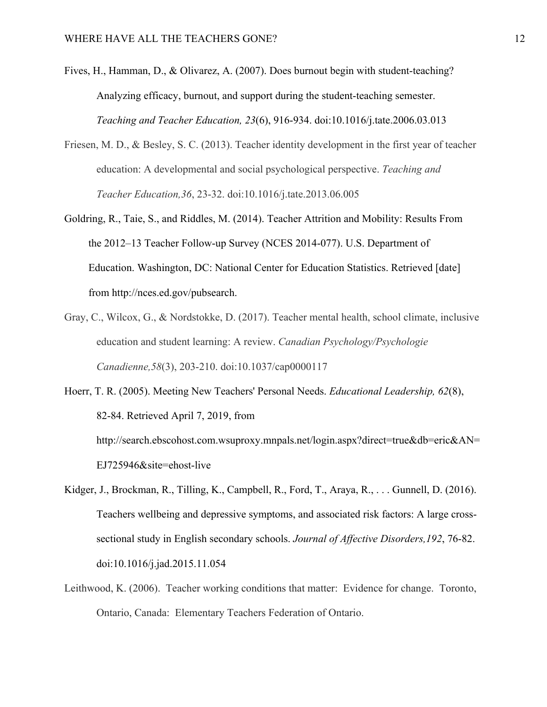- Fives, H., Hamman, D., & Olivarez, A. (2007). Does burnout begin with student-teaching? Analyzing efficacy, burnout, and support during the student-teaching semester. *Teaching and Teacher Education, 23*(6), 916-934. doi:10.1016/j.tate.2006.03.013
- Friesen, M. D., & Besley, S. C. (2013). Teacher identity development in the first year of teacher education: A developmental and social psychological perspective. *Teaching and Teacher Education,36*, 23-32. doi:10.1016/j.tate.2013.06.005
- Goldring, R., Taie, S., and Riddles, M. (2014). Teacher Attrition and Mobility: Results From the 2012–13 Teacher Follow-up Survey (NCES 2014-077). U.S. Department of Education. Washington, DC: National Center for Education Statistics. Retrieved [date] from http://nces.ed.gov/pubsearch.
- Gray, C., Wilcox, G., & Nordstokke, D. (2017). Teacher mental health, school climate, inclusive education and student learning: A review. *Canadian Psychology/Psychologie Canadienne,58*(3), 203-210. doi:10.1037/cap0000117
- Hoerr, T. R. (2005). Meeting New Teachers' Personal Needs. *Educational Leadership, 62*(8), 82-84. Retrieved April 7, 2019, from

http://search.ebscohost.com.wsuproxy.mnpals.net/login.aspx?direct=true&db=eric&AN= EJ725946&site=ehost-live

- Kidger, J., Brockman, R., Tilling, K., Campbell, R., Ford, T., Araya, R., . . . Gunnell, D. (2016). Teachers wellbeing and depressive symptoms, and associated risk factors: A large crosssectional study in English secondary schools. *Journal of Affective Disorders,192*, 76-82. doi:10.1016/j.jad.2015.11.054
- Leithwood, K. (2006). Teacher working conditions that matter: Evidence for change. Toronto, Ontario, Canada: Elementary Teachers Federation of Ontario.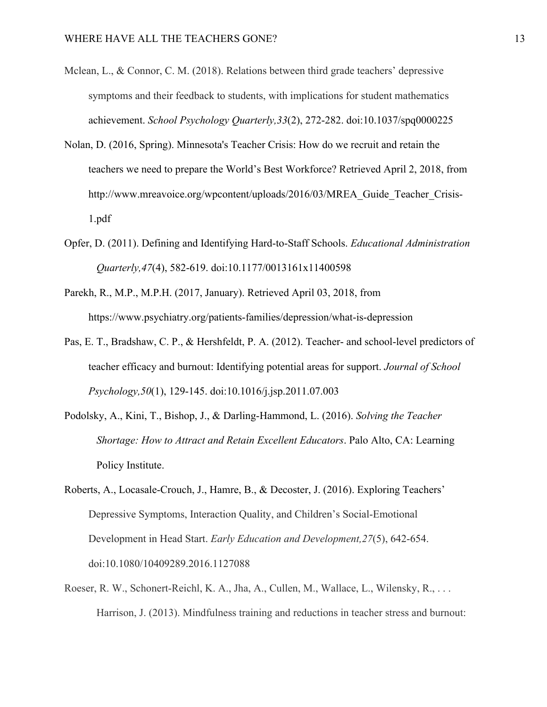- Mclean, L., & Connor, C. M. (2018). Relations between third grade teachers' depressive symptoms and their feedback to students, with implications for student mathematics achievement. *School Psychology Quarterly,33*(2), 272-282. doi:10.1037/spq0000225
- Nolan, D. (2016, Spring). Minnesota's Teacher Crisis: How do we recruit and retain the teachers we need to prepare the World's Best Workforce? Retrieved April 2, 2018, from http://www.mreavoice.org/wpcontent/uploads/2016/03/MREA\_Guide\_Teacher\_Crisis-1.pdf
- Opfer, D. (2011). Defining and Identifying Hard-to-Staff Schools. *Educational Administration Quarterly,47*(4), 582-619. doi:10.1177/0013161x11400598
- Parekh, R., M.P., M.P.H. (2017, January). Retrieved April 03, 2018, from https://www.psychiatry.org/patients-families/depression/what-is-depression
- Pas, E. T., Bradshaw, C. P., & Hershfeldt, P. A. (2012). Teacher- and school-level predictors of teacher efficacy and burnout: Identifying potential areas for support. *Journal of School Psychology,50*(1), 129-145. doi:10.1016/j.jsp.2011.07.003
- Podolsky, A., Kini, T., Bishop, J., & Darling-Hammond, L. (2016). *Solving the Teacher Shortage: How to Attract and Retain Excellent Educators*. Palo Alto, CA: Learning Policy Institute.
- Roberts, A., Locasale-Crouch, J., Hamre, B., & Decoster, J. (2016). Exploring Teachers' Depressive Symptoms, Interaction Quality, and Children's Social-Emotional Development in Head Start. *Early Education and Development,27*(5), 642-654. doi:10.1080/10409289.2016.1127088
- Roeser, R. W., Schonert-Reichl, K. A., Jha, A., Cullen, M., Wallace, L., Wilensky, R., . . . Harrison, J. (2013). Mindfulness training and reductions in teacher stress and burnout: